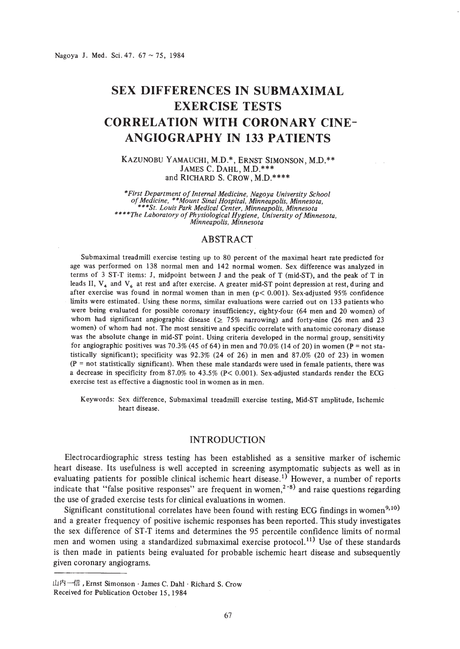# **SEX DIFFERENCES IN SUBMAXIMAL EXERCISE TESTS CORRELATION WITH CORONARY CINE-ANGIOGRAPHY IN 133 PATIENTS**

KAZUNOBU YAMAUCHI, M.D.\*, ERNST SIMONSON, M.D.\*\* JAMES C. DAHL, M.D.\*\*\* and RICHARD S. CROW, M.D.\*\*\*\*

*\*First Department ofInternal Medicine, Nagoya University School ofMedicine, \*\*Mount Sinai Hospital, Minneapolis, Minnesota, \*\*\*St. Louis Park Medical Center, Minneapolis, Minnesota \*\*\*\*The Laboratory ofPhysiological Hygiene, University ofMinnesota, Minneapolis. Minnesota*

# ABSTRACT

Submaximal treadmill exercise testing up to 80 percent of the maximal heart rate predicted for age was performed on 138 normal men and 142 normal women. Sex difference was analyzed in terms of 3 ST-T items: J, midpoint between J and the peak of T (mid-ST), and the peak of T in leads II,  $V_4$  and  $V_6$  at rest and after exercise. A greater mid-ST point depression at rest, during and after exercise was found in normal women than in men  $(p < 0.001)$ . Sex-adjusted 95% confidence limits were estimated. Using these norms, similar evaluations were carried out on 133 patients who were being evaluated for possible coronary insufficiency, eighty-four (64 men and 20 women) of whom had significant angiographic disease ( $\geq$  75% narrowing) and forty-nine (26 men and 23 women) of whom had not. The most sensitive and specific correlate with anatomic coronary disease was the absolute change in mid-ST point. Using criteria developed in the normal group, sensitivity for angiographic positives was 70.3% (45 of 64) in men and 70.0% (14 of 20) in women ( $P = not$  statistically significant); specificity was 92.3% (24 of 26) in men and 87.0% (20 of 23) in women  $(P = not statistically significant)$ . When these male standards were used in female patients, there was a decrease in specificity from 87.0% to 43.5% (P< 0.001). Sex-adjusted standards render the ECG exercise test as effective a diagnostic tool in women as in men.

Keywords: Sex difference, Submaximal treadmill exercise testing, Mid-ST amplitude, Ischemic heart disease.

# INTRODUCTION

Electrocardiographic stress testing has been established as a sensitive marker of ischemic heart disease. Its usefulness is well accepted in screening asymptomatic subjects as well as in evaluating patients for possible clinical ischemic heart disease.<sup>1)</sup> However, a number of reports indicate that "false positive responses" are frequent in women,<sup>2-8)</sup> and raise questions regarding the use of graded exercise tests for clinical evaluations in women.

Significant constitutional correlates have been found with resting ECG findings in women $^{9,10)}$ and a greater frequency of positive ischemic responses has been reported. This study investigates the sex difference of ST-T items and determines the 95 percentile confidence limits of normal men and women using a standardized submaximal exercise protocol.<sup>11</sup> Use of these standards is then made in patients being evaluated for probable ischemic heart disease and subsequently given coronary angiograms.

山内一信, Ernst Simonson · James C. Dahl · Richard S. Crow Received for Publication October 15,1984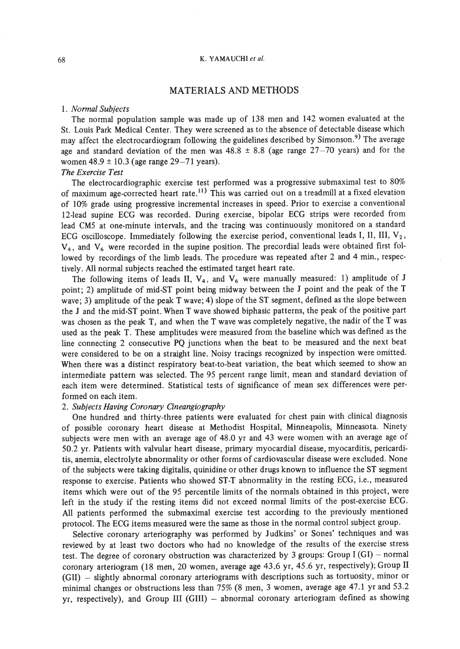#### 68 K. YAMA UCHI *et al.*

# MATERIALS AND METHODS

## *1. Normal Subjects*

The normal population sample was made up of 138 men and 142 women evaluated at the St. Louis Park Medical Center. They were screened as to the absence of detectable disease which may affect the electrocardiogram following the guidelines described by Simonson.<sup>9)</sup> The average age and standard deviation of the men was  $48.8 \pm 8.8$  (age range 27-70 years) and for the women 48.9  $\pm$  10.3 (age range 29–71 years).

#### *The Exercise Test*

The electrocardiographic exercise test performed was a progressive submaximal test to 80% of maximum age-corrected heart rate. <sup>11</sup> ) This was carried *out* on a treadmill at a fixed elevation of 10% grade using progressive incremental increases in speed. Prior to exercise a conventional 12-lead supine ECG was recorded. During exercise, bipolar ECG strips were recorded from lead CM5 at one-minute intervals, and the tracing was continuously monitored on a standard ECG oscilloscope. Immediately following the exercise period, conventional leads I, II, III,  $V_2$ , V<sub>4</sub>, and V<sub>6</sub> were recorded in the supine position. The precordial leads were obtained first followed by recordings of the limb leads. The procedure was repeated after 2 and 4 min., respectively. All normal subjects reached the estimated target heart rate.

The following items of leads II,  $V_4$ , and  $V_6$  were manually measured: 1) amplitude of J point; 2) amplitude of mid·ST point being midway between the J point and the peak of the T wave; 3) amplitude of the peak T wave; 4) slope of the ST segment, defmed as the slope between the J and the mid-ST point. When T wave showed biphasic patterns, the peak of the positive part was chosen as the peak T, and when the T wave was completely negative, the nadir of the Twas used as the peak T. These amplitudes were measured from the baseline which was defined as the line connecting 2 consecutive PQ junctions when the beat to be measured and the next beat were considered to be on a straight line. Noisy tracings recognized by inspection were omitted. When there was a distinct respiratory beat-to-beat variation, the beat which seemed to show an intermediate pattern was selected. The 95 percent range limit, mean and standard deviation of each item were determined. Statistical tests of significance of mean sex differences were performed on each item.

## *2. Subjects Having Coronary Qneangiography*

One hundred and thirty-three patients were evaluated for chest pain with clinical diagnosis of possible coronary heart disease at Methodist Hospital, Minneapolis, Minneasota. Ninety subjects were men with an average age of 48.0 yr and 43 were women with an average age of 50.2 yr. Patients with valvular heart disease, primary myocardial disease, myocarditis, pericarditis, anemia, electrolyte abnormality or other forms of cardiovascular disease were excluded. None of the subjects were taking digitalis, quinidine or other drugs known to influence the ST segment response to exercise. Patients who showed ST-T abnormality in the resting ECG, i.e., measured items which were out of the 95 percentile limits of the normals obtained in this project, were left in the study if the resting items did not exceed normal limits of the post-exercise ECG. All patients performed the submaximal exercise test according to the previously mentioned protocol. The ECG items measured were the same as those in the normal control subject group.

Selective coronary arteriography was performed by Judkins' or Sones' techniques and was reviewed by at least two doctors who had no knowledge of the results of the exercise stress test. The degree of coronary obstruction was characterized by 3 groups: Group  $I(GI)$  - normal coronary arteriogram (18 men, 20 women, average age 43.6 yr, 45.6 yr, respectively); Group II (GIl) - slightly abnormal coronary arteriograms with descriptions such as tortuosity, minor or minimal changes or obstructions less than 75% (8 men, 3 women, average age 47.1 yr and 53.2 yr, respectively), and Group III (GIll) - abnormal coronary arteriogram defined as showing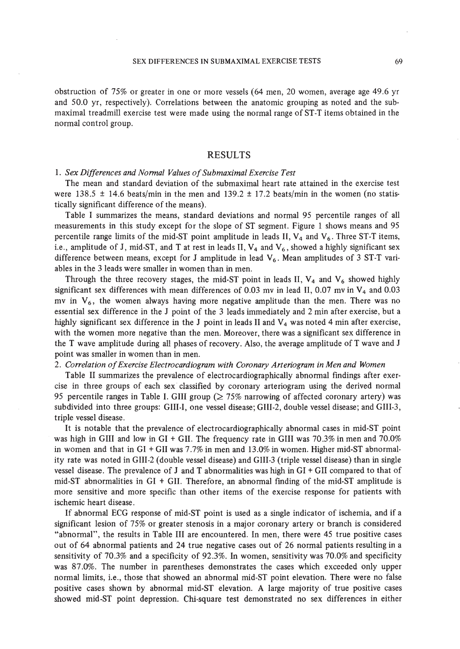obstruction of 75% or greater in one or more vessels (64 men, 20 women, average age 49.6 yr and 50.0 yr, respectively). Correlations between the anatomic grouping as noted and the submaximal treadmill exercise test were made using the normal range of ST-T items obtained in the normal control group.

# RESULTS

#### 1. *Sex Differences and Normal Values ofSubmaximal Exercise Test*

The mean and standard deviation of the submaximal heart rate attained in the exercise test were  $138.5 \pm 14.6$  beats/min in the men and  $139.2 \pm 17.2$  beats/min in the women (no statistically significant difference of the means).

Table I summarizes the means, standard deviations and normal 95 percentile ranges of all measurements in this study except for the slope of ST segment. Figure 1 shows means and 95 percentile range limits of the mid-ST point amplitude in leads II,  $V_4$  and  $V_6$ . Three ST-T items, i.e., amplitude of J, mid-ST, and T at rest in leads II,  $V_4$  and  $V_6$ , showed a highly significant sex difference between means, except for J amplitude in lead  $V_6$ . Mean amplitudes of 3 ST-T variables in the 3 leads were smaller in women than in men.

Through the three recovery stages, the mid-ST point in leads II,  $V_4$  and  $V_6$  showed highly significant sex differences with mean differences of 0.03 mv in lead II, 0.07 mv in  $V_4$  and 0.03 mv in  $V_6$ , the women always having more negative amplitude than the men. There was no essential sex difference in the J point of the 3 leads immediately and 2 min after exercise, but a highly significant sex difference in the J point in leads II and  $V_4$  was noted 4 min after exercise, with the women more negative than the men. Moreover, there was a significant sex difference in the T wave amplitude during all phases of recovery. Also, the average amplitude of T wave and J point was smaller in women than in men.

#### *2. Correlation ofExercise Electrocardiogram with Coronary Arteriogram in Men and Women*

Table II summarizes the prevalence of electrocardiographically abnormal findings after exercise in three groups of each sex· classified by coronary arteriogram using the derived normal 95 percentile ranges in Table I. GIII group ( $\geq$  75% narrowing of affected coronary artery) was subdivided into three groups: GIII·I, one vessel disease; GIII·2, double vessel disease; and GIII-3, triple vessel disease.

It is notable that the prevalence of electrocardiographically abnormal cases in mid-ST point was high in GIII and low in GI + GII. The frequency rate in GIII was 70.3% in men and 70.0% in women and that in GI +GIl was 7.7% in men and 13.0% in women. Higher mid·ST abnormality rate was noted in GIII-2 (double vessel disease) and GIII-3 (triple vessel disease) than in single vessel disease. The prevalence of J and T abnormalities was high in GI + GIl compared to that of mid-ST abnormalities in GI + GIl. Therefore, an abnormal finding of the mid·ST amplitude is more sensitive and more specific than other items of the exercise response for patients with ischemic heart disease.

If abnormal ECG response of mid-ST point is used as a single indicator of ischemia, and if a significant lesion of 75% or greater stenosis in a major coronary artery or branch is considered "abnormal", the results in Table III are encountered. In men, there were 45 true positive cases out of 64 abnormal patients and 24 true negative cases out of 26 normal patients resulting in a sensitivity of 70.3% and a specificity of 92.3%. In women, sensitivity was 70.0% and specificity was 87.0%. The number in parentheses demonstrates the cases which exceeded only upper normal limits, i.e., those that showed an abnormal mid-ST point elevation. There were no false positive cases shown by abnormal mid·ST elevation. A large majority of true positive cases showed mid·ST point depression. Chi-square test demonstrated no sex differences in either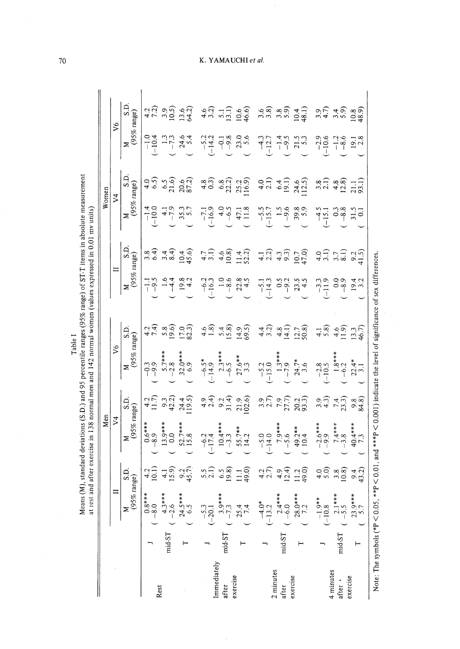| Means (M), standard deviations (S.D.) and 95 percentile ranges (95% range) of ST-T items in absolute measurement | at rest and after exercise in 138 normal men and 142 normal women (values expressed in 0.01 mv units) |
|------------------------------------------------------------------------------------------------------------------|-------------------------------------------------------------------------------------------------------|
|                                                                                                                  |                                                                                                       |

|       |            |                             |                         |        |                                                           |                                 |        | YAMAUCHI et al.                                                                                                                                                                                                                                                               |                                                        |                    |                                                              |                                                                  |                             |                                                                                                                                                                                                                                      |                                                                         |
|-------|------------|-----------------------------|-------------------------|--------|-----------------------------------------------------------|---------------------------------|--------|-------------------------------------------------------------------------------------------------------------------------------------------------------------------------------------------------------------------------------------------------------------------------------|--------------------------------------------------------|--------------------|--------------------------------------------------------------|------------------------------------------------------------------|-----------------------------|--------------------------------------------------------------------------------------------------------------------------------------------------------------------------------------------------------------------------------------|-------------------------------------------------------------------------|
|       |            | M<br>$(S5\% \text{ range})$ |                         |        | $47.29$<br>$7.29$<br>$10.5$<br>$10.6$<br>$10.3$           |                                 |        | $\begin{array}{cccc} 4.6 & 0.00 & 0.00 & 0.00 & 0.00 & 0.00 & 0.00 & 0.00 & 0.00 & 0.00 & 0.00 & 0.00 & 0.00 & 0.00 & 0.00 & 0.00 & 0.00 & 0.00 & 0.00 & 0.00 & 0.00 & 0.00 & 0.00 & 0.00 & 0.00 & 0.00 & 0.00 & 0.00 & 0.00 & 0.00 & 0.00 & 0.00 & 0.00 & 0.00 & 0.00 & 0.0$ |                                                        |                    |                                                              | $3.7$<br>$3.7$<br>$4.9$<br>$9.8$<br>$9.9$<br>$10.8$<br>$4.9$     |                             |                                                                                                                                                                                                                                      |                                                                         |
|       | $\sqrt{6}$ |                             |                         |        |                                                           |                                 |        |                                                                                                                                                                                                                                                                               |                                                        |                    |                                                              |                                                                  |                             |                                                                                                                                                                                                                                      |                                                                         |
| Women | $\sqrt{4}$ | $M$ S.D.<br>(95% range)     |                         |        |                                                           |                                 |        | $4.6$ $5.6$ $6.6$ $6.6$ $6.6$ $6.6$ $6.6$ $6.6$ $6.6$ $6.6$ $6.6$ $6.6$ $6.6$ $6.6$ $6.6$ $6.6$ $6.6$ $6.6$ $6.6$ $6.6$ $6.6$ $6.6$ $6.6$ $6.6$ $6.6$ $6.6$ $6.6$ $6.6$ $6.6$ $6.6$ $6.6$ $6.6$ $6.6$ $6.6$ $6.6$ $6.6$ $6.6$                                                 |                                                        |                    |                                                              | $\begin{array}{c} 3.8 \\ 2.1 \\ 4.2 \\ 1.1 \\ 2.1.1 \end{array}$ |                             |                                                                                                                                                                                                                                      |                                                                         |
|       |            |                             |                         |        |                                                           |                                 |        |                                                                                                                                                                                                                                                                               |                                                        |                    |                                                              |                                                                  |                             |                                                                                                                                                                                                                                      |                                                                         |
|       | $\equiv$   | $M$ S.D.<br>(95% range)     |                         |        | लें में से में की<br>अब पंथ पेंदी                         |                                 |        |                                                                                                                                                                                                                                                                               |                                                        |                    |                                                              |                                                                  |                             | $\frac{1}{4}$ with $\frac{1}{2}$ $\frac{1}{2}$ $\frac{1}{2}$ $\frac{1}{2}$ $\frac{1}{2}$ $\frac{1}{2}$                                                                                                                               |                                                                         |
|       |            |                             |                         |        | $-1.5$<br>$-4.8$<br>$-4.8$<br>$-4.8$                      |                                 |        |                                                                                                                                                                                                                                                                               |                                                        |                    |                                                              |                                                                  |                             |                                                                                                                                                                                                                                      |                                                                         |
|       |            |                             |                         |        | $4 + 89$<br>$4 + 89$<br>$129$<br>$129$                    |                                 |        | $4.8$<br>$4.8$<br>$4.8$<br>$5.8$<br>$5.9$<br>$5.9$<br>$5.9$                                                                                                                                                                                                                   |                                                        |                    | $4.3$<br>$4.3$<br>$4.4$<br>$4.1$<br>$12.8$<br>$10.8$         |                                                                  |                             | $4.1$<br>$5.8$<br>$4.6$<br>$11.9$<br>$13.3$<br>$46.7$                                                                                                                                                                                |                                                                         |
|       | $\sqrt{6}$ | $M$ S.D.<br>(95% range)     |                         |        | $-9.3$<br>$-9.9$<br>$-5.7***$<br>$-2.8$<br>$3.2.0***$     |                                 |        | $\begin{array}{r} -6.5* \\ -14.9 \\ -2.3*** \\ -6.5 \\ \hline \end{array}$<br>$\begin{array}{r} +1.9 \\ -6.5 \\ \hline \end{array}$<br>$\begin{array}{r} +1.9 \\ -1.5 \\ \hline \end{array}$<br>$\begin{array}{r} +1.9 \\ -1.5 \\ \hline \end{array}$                         |                                                        |                    |                                                              |                                                                  |                             | $-2.8$<br>$-10.5$<br>$1.8**$<br>$-6.2$<br>$22.4*$<br>3.1                                                                                                                                                                             | nd ***P < 0.001) indicate the level of significance of sex differences. |
|       |            |                             |                         |        | $41.7$<br>$11.7$<br>$9.2$<br>$13.4$<br>$19.5$<br>$11.5$   |                                 |        |                                                                                                                                                                                                                                                                               |                                                        |                    |                                                              |                                                                  |                             | and river and discrete discrete discrete discrete discrete discrete discrete discrete discrete discrete discre<br>Territoriale discrete discrete discrete discrete discrete discrete discrete discrete discrete discrete discret<br> |                                                                         |
| Men   | $\sqrt{4}$ | M $S.D.$<br>(95% range)     |                         |        | $0.6***$<br>$-8.9***$<br>$13.9***$<br>$0.7***$<br>$52.7*$ |                                 |        | $-6.2$<br>$-17.4$<br>$10.4***$<br>$-3.3$<br>$-3.7**$<br>55.7**                                                                                                                                                                                                                | $-5.0$<br>$(-14.0$<br>7.9***<br>-5.6<br>49.2**<br>10.4 |                    |                                                              |                                                                  |                             | $-2.6$ ***<br>$-9.9$<br>$-7.4$ ***<br>$7.4$ **<br>$-7.4$ **<br>$-7.4$ **<br>$-7.3$<br>$+7.3$                                                                                                                                         |                                                                         |
|       |            |                             | $^{4.2}_{10.1}$         |        | $\begin{array}{c} 4.1 \\ 1.9 \\ 9.3 \\ 4.7 \end{array}$   |                                 |        | $\begin{array}{c} 5.5 \\ 2.1 \\ 6.5 \\ 9.8 \\ 11.1 \\ 49.0 \end{array}$                                                                                                                                                                                                       |                                                        |                    | $4.2$<br>$2.7$<br>$4.9$<br>$1.2$<br>$1.3$<br>$1.3$<br>$49.0$ | $4.0$<br>$5.0$<br>$8.8$<br>$10.8$                                |                             | 94,2)                                                                                                                                                                                                                                |                                                                         |
|       |            | M $S.D.$<br>(95% range)     | $\frac{0.8***}{0.8***}$ |        | $-4.3***$<br>$-2.6$<br>$24.5***$<br>(6.5                  |                                 |        | $-5.3$<br>$(-20.1$<br>$-3.9$ ***<br>$-7.3$<br>$-7.3$<br>$-7.4$<br>$7.4$                                                                                                                                                                                                       |                                                        |                    | $-4.0*$<br>$(-13.2$<br>$2.4***$<br>$-6.0$<br>$28.0***$       | $-1.9**$<br>$(-10.8$                                             | $6.2$<br>$-5.5$<br>$(-5.5)$ | $23.9***$                                                                                                                                                                                                                            | Note: The symbols (*P < 0.05, **P < 0.01,                               |
|       |            |                             |                         | mid-ST |                                                           |                                 | mid-ST |                                                                                                                                                                                                                                                                               |                                                        | mid-ST             |                                                              |                                                                  | mid-ST                      |                                                                                                                                                                                                                                      |                                                                         |
|       |            |                             |                         | Rest   |                                                           | mmediately<br>exercise<br>after |        |                                                                                                                                                                                                                                                                               |                                                        | 2 minutes<br>after | xercise                                                      |                                                                  | minutes<br>after -          | xercise                                                                                                                                                                                                                              |                                                                         |

# K. YAMAUCHI et al.

 $\boldsymbol{v}$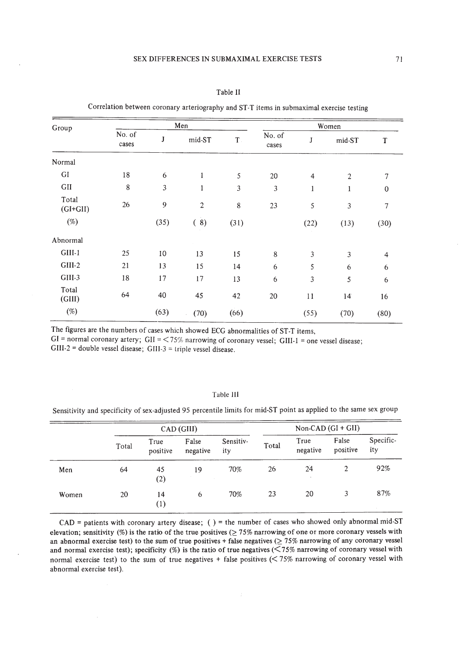| - |  |
|---|--|
|---|--|

Correlation between coronary arteriography and ST-T items in submaximal exercise testing

| Group               |                      |      | Men            | Women         |                 |                |                |              |
|---------------------|----------------------|------|----------------|---------------|-----------------|----------------|----------------|--------------|
|                     | No. of<br>J<br>cases |      | mid-ST         | $\mathbf T$ . | No. of<br>cases | J              | mid-ST         | T            |
| Normal              |                      |      |                |               |                 |                |                |              |
| GI                  | 18                   | 6    | 1              | 5             | 20              | $\overline{4}$ | $\overline{2}$ | 7            |
| GII                 | $\,$ 8 $\,$          | 3    | 1              | 3             | 3               | $\mathbf{1}$   | 1              | $\mathbf{0}$ |
| Total<br>$(GI+GII)$ | 26                   | 9    | $\overline{2}$ | $\,$ 8 $\,$   | 23              | 5              | 3              | 7            |
| $(\%)$              |                      | (35) | (8)            | (31)          |                 | (22)           | (13)           | (30)         |
| Abnormal            |                      |      |                |               |                 |                |                |              |
| $GIII-1$            | 25                   | 10   | 13             | 15            | 8               | 3              | 3              | 4            |
| $GIII-2$            | 21                   | 13   | 15             | 14            | 6               | 5              | 6              | 6            |
| GIII-3              | 18                   | 17   | 17             | 13            | 6               | 3              | 5              | 6            |
| Total<br>(GIII)     | 64                   | 40   | 45             | 42            | 20              | 11             | 14             | 16           |
| $(\%)$              |                      | (63) | (70)           | (66)          |                 | (55)           | (70)           | (80)         |

The figures are the numbers of cases which showed ECG abnormalities of ST-T items,

GI = normal coronary artery; GII =  $<$  75% narrowing of coronary vessel; GIII-1 = one vessel disease;

 $GIII-2$  = double vessel disease;  $GIII-3$  = triple vessel disease.

## Table IlJ

Sensitivity and specificity of sex-adjusted 95 percentile limits for mid-ST point as applied to the same sex group

|       |       |                        | CAD (GIII)        | Non-CAD $(GI + GII)$ |       |                  |                   |                  |
|-------|-------|------------------------|-------------------|----------------------|-------|------------------|-------------------|------------------|
|       | Total | True<br>positive       | False<br>negative | Sensitiv-<br>ity     | Total | True<br>negative | False<br>positive | Specific-<br>ity |
| Men   | 64    | 45<br>(2)              | 19                | 70%                  | 26    | 24<br>. .        | 2                 | 92%              |
| Women | 20    | 14<br>$\left(1\right)$ | 6                 | 70%                  | 23    | 20               | 3                 | 87%              |

CAD <sup>=</sup> patients with coronary artery disease; () <sup>=</sup> the number of cases who showed only abnormal mid-ST elevation; sensitivity (%) is the ratio of the true positives ( $\geq$  75% narrowing of one or more coronary vessels with an abnormal exercise test) to the sum of true positives + false negatives ( $\geq$  75% narrowing of any coronary vessel and normal exercise test); specificity (%) is the ratio of true negatives ( $\leq$ 75% narrowing of coronary vessel with normal exercise test) to the sum of true negatives  $+$  false positives ( $<$  75% narrowing of coronary vessel with abnormal exercise test).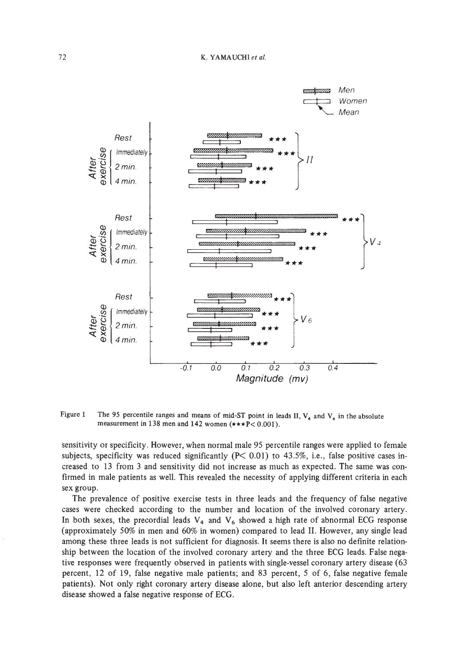

Figure 1 The 95 percentile ranges and means of mid-ST point in leads II,  $V_4$  and  $V_6$  in the absolute measurement in 138 men and 142 women  $(\star \star \star P < 0.001)$ .

sensitivity or specificity. However, when normal male 95 percentile ranges were applied to female subjects, specificity was reduced significantly  $(P< 0.01)$  to 43.5%, i.e., false positive cases increased to 13 from 3 and sensitivity did not increase as much as expected. The same was confirmed in male patients as well. This revealed the necessity of applying different criteria in each sex group.

The prevalence of positive exercise tests in three leads and the frequency of false negative cases were checked according to the number and location of the involved coronary artery. In both sexes, the precordial leads  $V_4$  and  $V_6$  showed a high rate of abnormal ECG response (approximately 50% in men and 60% in women) compared to lead II. However, any single lead among these three leads is not sufficient for diagnosis. It seems there is also no definite relationship between the location of the involved coronary artery and the three ECG leads. False negative responses were frequently observed in patients with single-vessel coronary artery disease (63 percent, 12 of 19, false negative male patients; and 83 percent, 5 of 6, false negative female patients). Not only right coronary artery disease alone, but also left anterior descending artery disease showed a false negative response of ECG.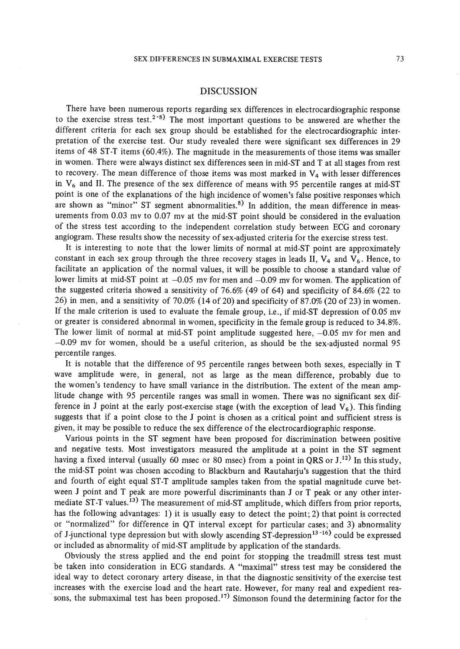#### SEX DIFFERENCES IN SUBMAXIMAL EXERCISE TESTS

## DISCUSSION

There have been numerous reports regarding sex differences in electrocardiographic response to the exercise stress test.<sup>2-8</sup>) The most important questions to be answered are whether the different criteria for each sex group should be established for the electrocardiographic interpretation of the exercise test. Our study revealed there were significant sex differences in 29 items of 48 ST-T items (60.4%). The magnitude in the measurements of those items was smaller in women. There were always distinct sex differences seen in mid-ST and T at all stages from rest to recovery. The mean difference of those items was most marked in  $V_4$  with lesser differences in  $V_6$  and II. The presence of the sex difference of means with 95 percentile ranges at mid-ST point is one of the explanations of the high incidence of women's false positive responses which are shown as "minor" ST segment abnormalities.<sup>8)</sup> In addition, the mean difference in measurements from 0.03 mv to 0.07 mv at the rnid·ST point should be considered in the evaluation of the stress test according to the independent correlation study between ECG and coronary angiogram. These results show the necessity of sex-adjusted criteria for the exercise stress test.

It is interesting to note that the lower limits of normal at mid-ST point are approximately constant in each sex group through the three recovery stages in leads II,  $V_4$  and  $V_6$ . Hence, to facilitate an application of the normal values, it will be possible to choose a standard value of lower limits at mid-ST point at  $-0.05$  mv for men and  $-0.09$  mv for women. The application of the suggested criteria showed a sensitivity of 76.6% (49 of 64) and specificity of 84.6% (22 to 26) in men, and a sensitivity of 70.0% (14 of 20) and specificity of 87.0% (20 of 23) in women. If the male criterion is used to evaluate the female group, i.e., if mid-ST depression of 0.05 mv or greater is considered abnormal in women, specificity in the female group is reduced to 34.8%. The lower limit of normal at mid-ST point amplitude suggested here,  $-0.05$  mv for men and  $-0.09$  mv for women, should be a useful criterion, as should be the sex-adjusted normal 95 percentile ranges.

It is notable that the difference of 95 percentile ranges between both sexes, especially in T wave amplitude were, in general, not as large as the mean difference, probably due to the women's tendency to have small variance in the distribution. The extent of the mean amplitude change with 95 percentile ranges was small in women. There was no significant sex difference in J point at the early post-exercise stage (with the exception of lead  $V_6$ ). This finding suggests that if a point close to the J point is chosen as a critical point and sufficient stress is given, it may be possible to reduce the sex difference of the electrocardiographic response.

Various points in the ST segment have been proposed for discrimination between positive and negative tests. Most investigators measured the amplitude at a point in the ST segment having a fixed interval (usually 60 msec or 80 msec) from a point in QRS or  $J^{12}$ . In this study, the mid-ST point was chosen accoding to Blackburn and Rautaharju's suggestion that the third and fourth of eight equal ST-T amplitude samples taken from the spatial magnitude curve between J point and T peak are more powerful discriminants than J or T peak or any other intermediate ST-T values.<sup>13)</sup> The measurement of mid-ST amplitude, which differs from prior reports, has the following advantages: 1) it is usually easy to detect the point; 2) that point is corrected or "normalized" for difference in QT interval except for particular cases; and 3) abnormality of J-junctional type depression but with slowly ascending ST-depression<sup>13-16)</sup> could be expressed or included as abnormality of mid-ST amplitude by application of the standards.

Obviously the stress applied and the end point for stopping the treadmill stress test must be taken into consideration in ECG standards. A "maximal" stress test may be considered the ideal way to detect coronary artery disease, in that the diagnostic sensitivity of the exercise test increases with the exercise load and the heart rate. However, for many real and expedient rea sons, the submaximal test has been proposed.<sup>17)</sup> Simonson found the determining factor for the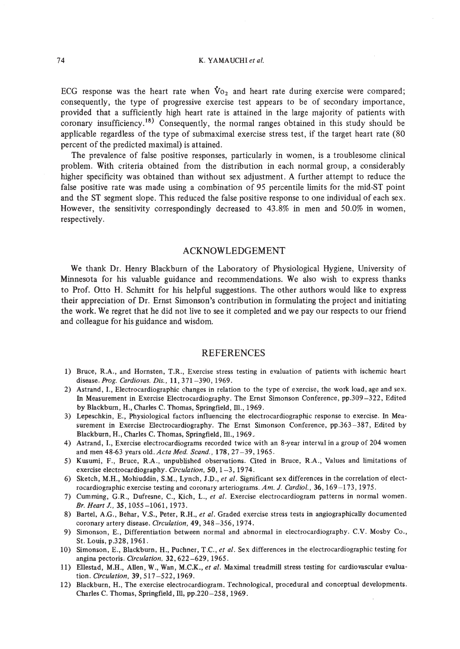#### 74 K. YAMAUCHI *et al.*

ECG response was the heart rate when  $\dot{V}o_2$  and heart rate during exercise were compared; consequently, the type of progressive exercise test appears to be of secondary importance, provided that a sufficiently high heart rate is attained in the large majority of patients with coronary insufficiency.<sup>18)</sup> Consequently, the normal ranges obtained in this study should be applicable regardless of the type of submaximal exercise stress test, if the target heart rate (80 percent of the predicted maximal) is attained.

The prevalence of false positive responses, particularly in women, is a troublesome clinical problem. With criteria obtained from the distribution in each normal group, a considerably higher specificity was obtained than without sex adjustment. A further attempt to reduce the false positive rate was made using a combination of 95 percentile limits for the mid-ST point and the ST segment slope. This reduced the false positive response to one individual of each sex. However, the sensitivity correspondingly decreased to 43.8% in men and 50.0% in women, respectively.

## ACKNOWLEDGEMENT

We thank Dr. Henry Blackburn of the Laboratory of Physiological Hygiene, University of Minnesota for his valuable guidance and recommendations. We also wish to express thanks to Prof. Otto H. Schmitt for his helpful suggestions. The other authors would like to express their appreciation of Dr. Ernst Simonson's contribution in formulating the project and initiating the work. We regret that he did not live to see it completed and we pay our respects to our friend and colleague for his guidance and wisdom.

#### REFERENCES

- 1) Bruce, R.A., and Hornsten, T.R., Exercise stress testing in evaluation of patients with ischemic heart disease. *Prog. Cardiovas. Dis.,* 11,371-390,1969.
- 2) Astrand, I., Electrocardiographic changes in relation to the type of exercise, the work load, age and sex. In Measurement in Exercise Electrocardiography. The Ernst Simonson Conference, pp.309–322, Edited by Blackburn, H., Charles C. Thomas, Springfield, liL, 1969.
- 3) Lepeschkin, E., Physiological factors influencing the electrocardiographic response to exercise. In Measurement in Exercise Electrocardiography. The Ernst Simonson Conference, pp.363-387, Edited by Blackburn, H., Charles C. Thomas, Springfield, Ill., 1969..
- 4) Astrand, I., Exercise electrocardiograms recorded twice with an 8-year interval in a group of 204 women and men 48-63 years old. *Acta Med. Scand.,* 178,27 -39,1965.
- 5) Kusumi, F., Bruce, R.A., unpublished observations. Cited in Bruce, R.A., Values and limitations of exercise electrocardiography. *Circulation,* 50, 1-3, 1974.
- 6) Sketch, M.H., Mohiuddin, S.M., Lynch, J.D., *et al.* Significant sex differences in the correlation of electrocardiographic exercise testing and coronary arteriograms. *Am.* J. *Cardio!.,* 36,169-173,1975.
- 7) Cumming, G.R., Dufresne, c., Kich, 1., *et al.* Exercise electrocardiogram patterns in normal women. *Br. Heart* J., 35,1055 -1061,1973.
- 8) Bartel, A.G., Behar, V.S., Peter, R.H., *et al.* Graded exercise stress tests in angiographically documented coronary artery disease. *Circulation,* 49, 348-356, 1974.
- 9) Simonson, E., Differentiation between normal and abnormal in electrocardiography. C.V. Mosby Co., St. Louis, p.328, 1961.
- 10) Simonson, E., Blackburn, H., Puchner, T.C., *et al.* Sex differences in the electrocardiographic testing for angina pectoris. *Circulation,* 32,622-629,1965.
- 11) Ellestad, M.H., Allen, W., Wan, M.C.K., *et al.* Maximal treadmill stress testing for cardiovascular evaluation. *Circulation,* 39,517 -522,1969.
- 12) Blackburn, H., The exercise electrocardiogram. Technological, procedural and conceptual developments. Charles C. Thomas, Springfield, Ill, pp.220-258, 1969.